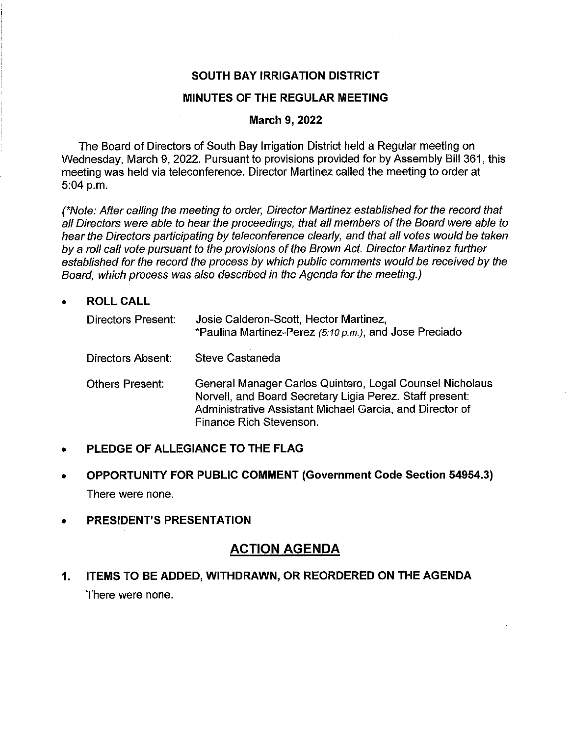## **SOUTH BAY IRRIGATION DISTRICT**

### **MINUTES OF THE REGULAR MEETING**

#### **March 9, 2022**

The Board of Directors of South Bay Irrigation District held a Regular meeting on Wednesday, March 9, 2022. Pursuant to provisions provided for by Assembly Bill 361, this meeting was held via teleconference. Director Martinez called the meeting to order at 5:04 p.m.

(\*Note: After calling the meeting to order, Director Martinez established for the record that all Directors were able to hear the proceedings, that all members of the Board were able to hear the Directors participating by teleconference clearly, and that all votes would be taken by a roll call vote pursuant to the provisions of the Brown Act. Director Martinez further established for the record the process by which public comments would be received by the Board, which process was also described in the Agenda for the meeting.)

### • **ROLLCALL**

| Directors Present: | Josie Calderon-Scott, Hector Martinez,<br>*Paulina Martinez-Perez (5:10 p.m.), and Jose Preciado                                                                                                            |
|--------------------|-------------------------------------------------------------------------------------------------------------------------------------------------------------------------------------------------------------|
| Directors Absent:  | Steve Castaneda                                                                                                                                                                                             |
| Others Present:    | General Manager Carlos Quintero, Legal Counsel Nicholaus<br>Norvell, and Board Secretary Ligia Perez. Staff present:<br>Administrative Assistant Michael Garcia, and Director of<br>Finance Rich Stevenson. |

### • **PLEDGE OF ALLEGIANCE TO THE FLAG**

- **OPPORTUNITY FOR PUBLIC COMMENT (Government Code Section 54954.3)**  There were none.
- **PRESIDENT'S PRESENTATION**

# **ACTION AGENDA**

# **1. ITEMS TO BE ADDED, WITHDRAWN, OR REORDERED ON THE AGENDA**  There were none.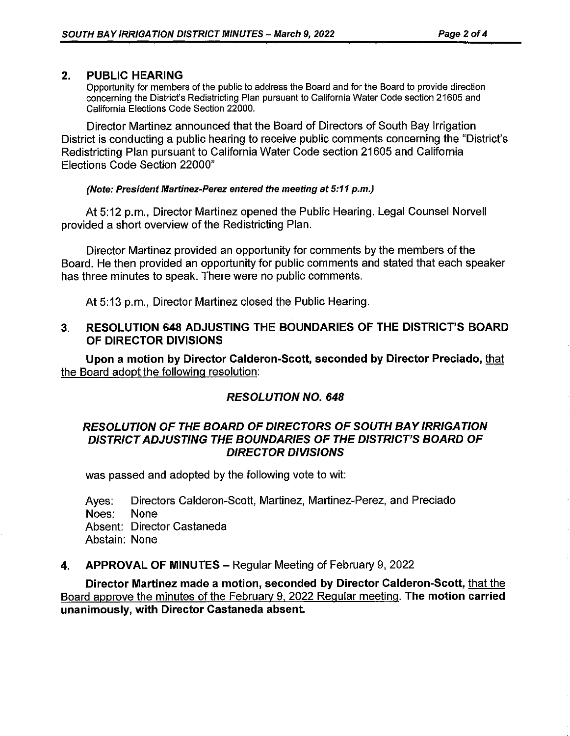## **2. PUBLIC HEARING**

Opportunity for members of the public to address the Board and for the Board to provide direction concerning the District's Redistricting Plan pursuant to California Water Code section 21605 and California Elections Code Section 22000.

Director Martinez announced that the Board of Directors of South Bay Irrigation District is conducting a public hearing to receive public comments concerning the "District's Redistricting Plan pursuant to California Water Code section 21605 and California Elections Code Section 22000"

#### **(Note: President Martinez-Perez entered the meeting at 5:11 p.m.)**

At 5:12 p.m., Director Martinez opened the Public Hearing. Legal Counsel Norvell provided a short overview of the Redistricting Plan.

Director Martinez provided an opportunity for comments by the members of the Board. He then provided an opportunity for public comments and stated that each speaker has three minutes to speak. There were no public comments.

At 5:13 p.m., Director Martinez closed the Public Hearing.

## **3. RESOLUTION 648 ADJUSTING THE BOUNDARIES OF THE DISTRICT'S BOARD OF DIRECTOR DIVISIONS**

**Upon a motion by Director Calderon-Scott, seconded by Director Preciado,** that the Board adopt the following resolution:

# **RESOLUTION NO. 648**

## **RESOLUTION OF THE BOARD OF DIRECTORS OF SOUTH BAY /RR/GA TION DISTRICT ADJUSTING THE BOUNDARIES OF THE DISTRICT'S BOARD OF DIRECTOR DIVISIONS**

was passed and adopted by the following vote to wit:

Ayes: Directors Calderon-Scott, Martinez, Martinez-Perez, and Preciado Noes: None Absent: Director Castaneda Abstain: None

### **4. APPROVAL OF MINUTES - Regular Meeting of February 9, 2022**

**Director Martinez made a motion, seconded by Director Calderon-Scott,** that the Board approve the minutes of the February 9, 2022 Regular meeting. **The motion carried unanimously, with Director Castaneda absent.**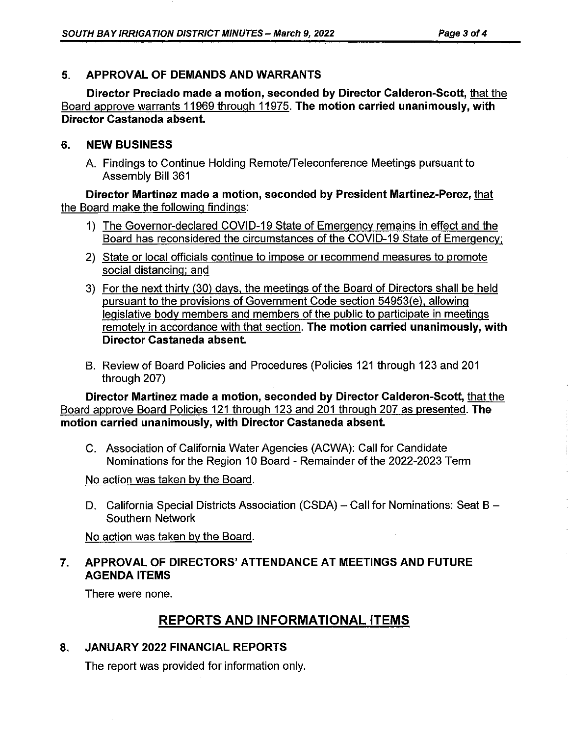## **5. APPROVAL OF DEMANDS AND WARRANTS**

**Director Preciado made a motion, seconded by Director Calderon-Scott,** that the Board approve warrants 11969 through 11975. **The motion carried unanimously, with Director Castaneda absent.** 

## **6. NEW BUSINESS**

A. Findings to Continue Holding Remote/Teleconference Meetings pursuant to Assembly Bill 361

**Director Martinez made a motion, seconded by President Martinez-Perez,** that the Board make the following findings:

- 1) The Governor-declared COVID-19 State of Emergency remains in effect and the Board has reconsidered the circumstances of the COVID-19 State of Emergency;
- 2) State or local officials continue to impose or recommend measures to promote social distancing: and
- 3) For the next thirty (30) days, the meetings of the Board of Directors shall be held pursuant to the provisions of Government Code section 54953/e), allowing legislative body members and members of the public to participate in meetings remotely in accordance with that section. **The motion carried unanimously, with Director Castaneda absent.**
- B. Review of Board Policies and Procedures (Policies 121 through 123 and 201 through 207)

**Director Martinez made a motion, seconded by Director Calderon-Scott,** that the Board approve Board Policies 121 through 123 and 201 through 207 as presented. **The motion carried unanimously, with Director Castaneda absent.** 

C. Association of California Water Agencies (ACWA): Call for Candidate Nominations for the Region 10 Board - Remainder of the 2022-2023 Term

No action was taken by the Board.

D. California Special Districts Association (CSDA) - Call for Nominations: Seat B -Southern Network

No action was taken by the Board.

# **7. APPROVAL OF DIRECTORS' ATTENDANCE AT MEETINGS AND FUTURE AGENDA ITEMS**

There were none.

# **REPORTS AND INFORMATIONAL ITEMS**

# **8. JANUARY 2022 FINANCIAL REPORTS**

The report was provided for information only.